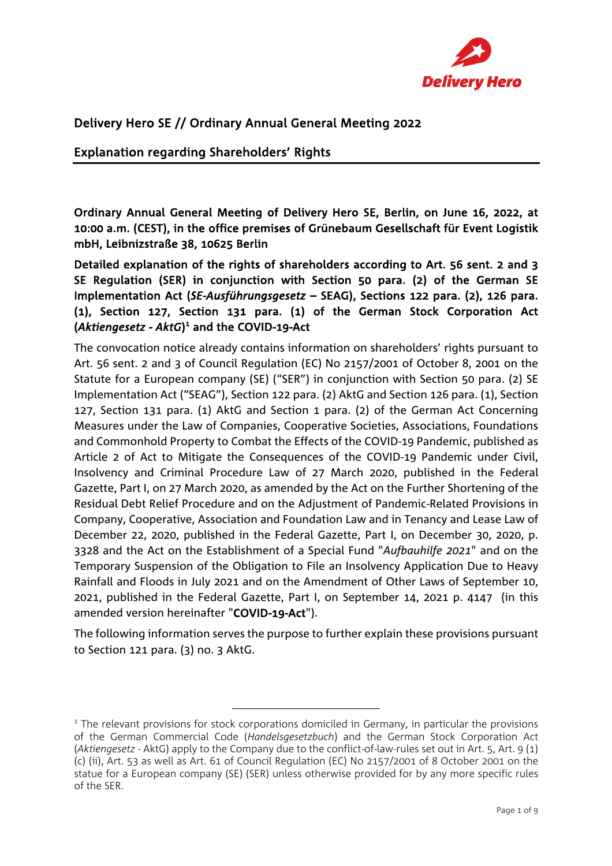

## Delivery Hero SE // Ordinary Annual General Meeting 2022

#### Explanation regarding Shareholders' Rights

Ordinary Annual General Meeting of Delivery Hero SE, Berlin, on June 16, 2022, at 10:00 a.m. (CEST), in the office premises of Grünebaum Gesellschaft für Event Logistik mbH, Leibnizstraße 38, 10625 Berlin

Detailed explanation of the rights of shareholders according to Art. 56 sent. 2 and 3 SE Regulation (SER) in conjunction with Section 50 para. (2) of the German SE Implementation Act (*SE-Ausführungsgesetz* – SEAG), Sections 122 para. (2), 126 para. (1), Section 127, Section 131 para. (1) of the German Stock Corporation Act (Aktiengesetz - AktG)<sup>1</sup> and the COVID-19-Act

The convocation notice already contains information on shareholders' rights pursuant to Art. 56 sent. 2 and 3 of Council Regulation (EC) No 2157/2001 of October 8, 2001 on the Statute for a European company (SE) ("SER") in conjunction with Section 50 para. (2) SE Implementation Act ("SEAG"), Section 122 para. (2) AktG and Section 126 para. (1), Section 127, Section 131 para. (1) AktG and Section 1 para. (2) of the German Act Concerning Measures under the Law of Companies, Cooperative Societies, Associations, Foundations and Commonhold Property to Combat the Effects of the COVID-19 Pandemic, published as Article 2 of Act to Mitigate the Consequences of the COVID-19 Pandemic under Civil, Insolvency and Criminal Procedure Law of 27 March 2020, published in the Federal Gazette, Part I, on 27 March 2020, as amended by the Act on the Further Shortening of the Residual Debt Relief Procedure and on the Adjustment of Pandemic-Related Provisions in Company, Cooperative, Association and Foundation Law and in Tenancy and Lease Law of December 22, 2020, published in the Federal Gazette, Part I, on December 30, 2020, p. 3328 and the Act on the Establishment of a Special Fund "*Aufbauhilfe 2021*" and on the Temporary Suspension of the Obligation to File an Insolvency Application Due to Heavy Rainfall and Floods in July 2021 and on the Amendment of Other Laws of September 10, 2021, published in the Federal Gazette, Part I, on September 14, 2021 p. 4147 (in this amended version hereinafter "COVID-19-Act").

The following information serves the purpose to further explain these provisions pursuant to Section 121 para. (3) no. 3 AktG.

 $<sup>1</sup>$  The relevant provisions for stock corporations domiciled in Germany, in particular the provisions</sup> of the German Commercial Code (*Handelsgesetzbuch*) and the German Stock Corporation Act (*Aktiengesetz* - AktG) apply to the Company due to the conflict-of-law-rules set out in Art. 5, Art. 9 (1) (c) (ii), Art. 53 as well as Art. 61 of Council Regulation (EC) No 2157/2001 of 8 October 2001 on the statue for a European company (SE) (SER) unless otherwise provided for by any more specific rules of the SER.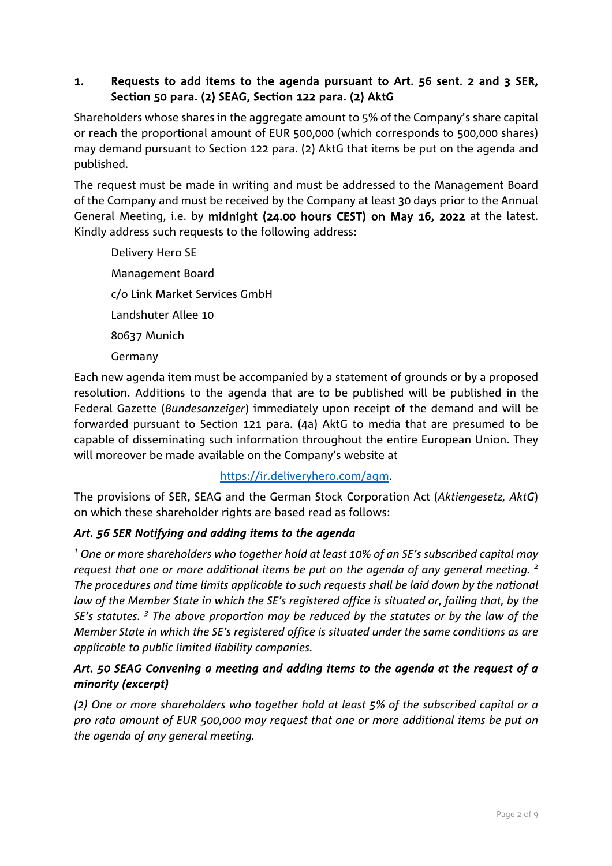#### 1. Requests to add items to the agenda pursuant to Art. 56 sent. 2 and 3 SER, Section 50 para. (2) SEAG, Section 122 para. (2) AktG

Shareholders whose shares in the aggregate amount to 5% of the Company's share capital or reach the proportional amount of EUR 500,000 (which corresponds to 500,000 shares) may demand pursuant to Section 122 para. (2) AktG that items be put on the agenda and published.

The request must be made in writing and must be addressed to the Management Board of the Company and must be received by the Company at least 30 days prior to the Annual General Meeting, i.e. by midnight (24.00 hours CEST) on May 16, 2022 at the latest. Kindly address such requests to the following address:

Delivery Hero SE Management Board c/o Link Market Services GmbH Landshuter Allee 10 80637 Munich Germany

Each new agenda item must be accompanied by a statement of grounds or by a proposed resolution. Additions to the agenda that are to be published will be published in the Federal Gazette (*Bundesanzeiger*) immediately upon receipt of the demand and will be forwarded pursuant to Section 121 para. (4a) AktG to media that are presumed to be capable of disseminating such information throughout the entire European Union. They will moreover be made available on the Company's website at

### https://ir.deliveryhero.com/agm.

The provisions of SER, SEAG and the German Stock Corporation Act (*Aktiengesetz, AktG*) on which these shareholder rights are based read as follows:

### *Art. 56 SER Notifying and adding items to the agenda*

*<sup>1</sup> One or more shareholders who together hold at least 10% of an SE's subscribed capital may request that one or more additional items be put on the agenda of any general meeting. <sup>2</sup> The procedures and time limits applicable to such requests shall be laid down by the national law of the Member State in which the SE's registered office is situated or, failing that, by the SE's statutes. <sup>3</sup> The above proportion may be reduced by the statutes or by the law of the Member State in which the SE's registered office is situated under the same conditions as are applicable to public limited liability companies.* 

### *Art. 50 SEAG Convening a meeting and adding items to the agenda at the request of a minority (excerpt)*

*(2) One or more shareholders who together hold at least 5% of the subscribed capital or a pro rata amount of EUR 500,000 may request that one or more additional items be put on the agenda of any general meeting.*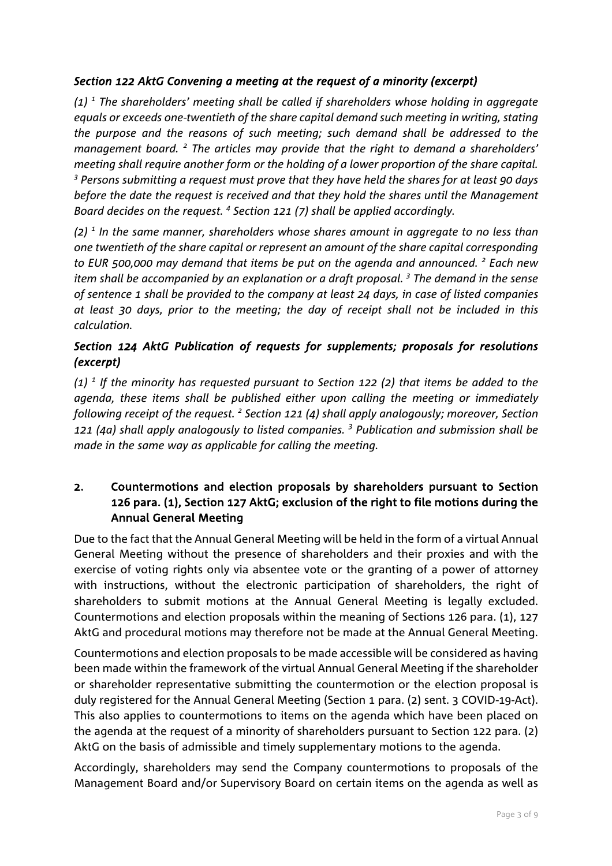#### *Section 122 AktG Convening a meeting at the request of a minority (excerpt)*

*(1) <sup>1</sup> The shareholders' meeting shall be called if shareholders whose holding in aggregate equals or exceeds one-twentieth of the share capital demand such meeting in writing, stating the purpose and the reasons of such meeting; such demand shall be addressed to the management board. <sup>2</sup> The articles may provide that the right to demand a shareholders' meeting shall require another form or the holding of a lower proportion of the share capital. <sup>3</sup> Persons submitting a request must prove that they have held the shares for at least 90 days before the date the request is received and that they hold the shares until the Management Board decides on the request. 4 Section 121 (7) shall be applied accordingly.* 

*(2) <sup>1</sup> In the same manner, shareholders whose shares amount in aggregate to no less than one twentieth of the share capital or represent an amount of the share capital corresponding to EUR 500,000 may demand that items be put on the agenda and announced. <sup>2</sup> Each new item shall be accompanied by an explanation or a draft proposal. 3 The demand in the sense of sentence 1 shall be provided to the company at least 24 days, in case of listed companies at least 30 days, prior to the meeting; the day of receipt shall not be included in this calculation.* 

### *Section 124 AktG Publication of requests for supplements; proposals for resolutions (excerpt)*

*(1) <sup>1</sup> If the minority has requested pursuant to Section 122 (2) that items be added to the agenda, these items shall be published either upon calling the meeting or immediately following receipt of the request. 2 Section 121 (4) shall apply analogously; moreover, Section 121 (4a) shall apply analogously to listed companies. <sup>3</sup> Publication and submission shall be made in the same way as applicable for calling the meeting.* 

#### 2. Countermotions and election proposals by shareholders pursuant to Section 126 para. (1), Section 127 AktG; exclusion of the right to file motions during the Annual General Meeting

Due to the fact that the Annual General Meeting will be held in the form of a virtual Annual General Meeting without the presence of shareholders and their proxies and with the exercise of voting rights only via absentee vote or the granting of a power of attorney with instructions, without the electronic participation of shareholders, the right of shareholders to submit motions at the Annual General Meeting is legally excluded. Countermotions and election proposals within the meaning of Sections 126 para. (1), 127 AktG and procedural motions may therefore not be made at the Annual General Meeting.

Countermotions and election proposals to be made accessible will be considered as having been made within the framework of the virtual Annual General Meeting if the shareholder or shareholder representative submitting the countermotion or the election proposal is duly registered for the Annual General Meeting (Section 1 para. (2) sent. 3 COVID-19-Act). This also applies to countermotions to items on the agenda which have been placed on the agenda at the request of a minority of shareholders pursuant to Section 122 para. (2) AktG on the basis of admissible and timely supplementary motions to the agenda.

Accordingly, shareholders may send the Company countermotions to proposals of the Management Board and/or Supervisory Board on certain items on the agenda as well as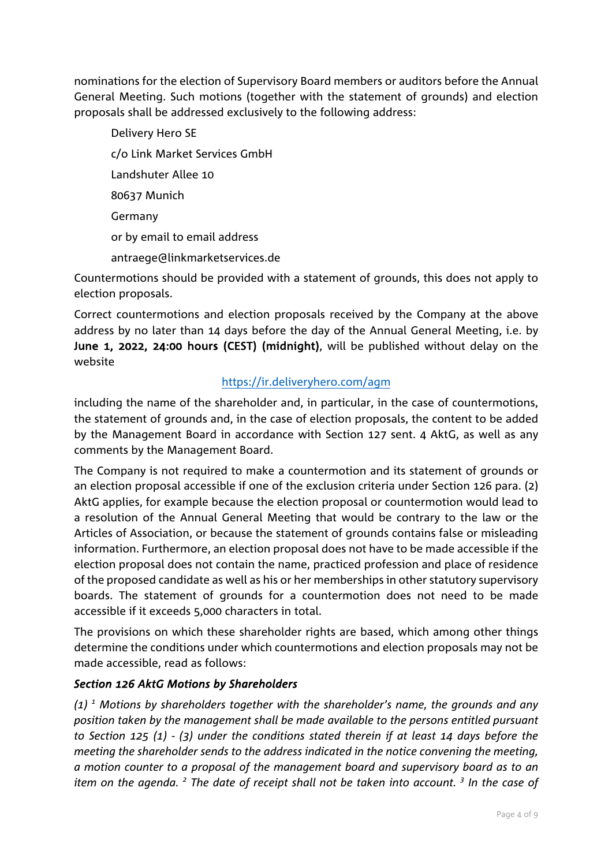nominations for the election of Supervisory Board members or auditors before the Annual General Meeting. Such motions (together with the statement of grounds) and election proposals shall be addressed exclusively to the following address:

Delivery Hero SE c/o Link Market Services GmbH Landshuter Allee 10 80637 Munich Germany or by email to email address antraege@linkmarketservices.de

Countermotions should be provided with a statement of grounds, this does not apply to election proposals.

Correct countermotions and election proposals received by the Company at the above address by no later than 14 days before the day of the Annual General Meeting, i.e. by June 1, 2022, 24:00 hours (CEST) (midnight), will be published without delay on the website

### https://ir.deliveryhero.com/agm

including the name of the shareholder and, in particular, in the case of countermotions, the statement of grounds and, in the case of election proposals, the content to be added by the Management Board in accordance with Section 127 sent. 4 AktG, as well as any comments by the Management Board.

The Company is not required to make a countermotion and its statement of grounds or an election proposal accessible if one of the exclusion criteria under Section 126 para. (2) AktG applies, for example because the election proposal or countermotion would lead to a resolution of the Annual General Meeting that would be contrary to the law or the Articles of Association, or because the statement of grounds contains false or misleading information. Furthermore, an election proposal does not have to be made accessible if the election proposal does not contain the name, practiced profession and place of residence of the proposed candidate as well as his or her memberships in other statutory supervisory boards. The statement of grounds for a countermotion does not need to be made accessible if it exceeds 5,000 characters in total.

The provisions on which these shareholder rights are based, which among other things determine the conditions under which countermotions and election proposals may not be made accessible, read as follows:

#### *Section 126 AktG Motions by Shareholders*

*(1) <sup>1</sup> Motions by shareholders together with the shareholder's name, the grounds and any position taken by the management shall be made available to the persons entitled pursuant to Section 125 (1) - (3) under the conditions stated therein if at least 14 days before the meeting the shareholder sends to the address indicated in the notice convening the meeting, a motion counter to a proposal of the management board and supervisory board as to an item on the agenda. <sup>2</sup> The date of receipt shall not be taken into account. <sup>3</sup> In the case of*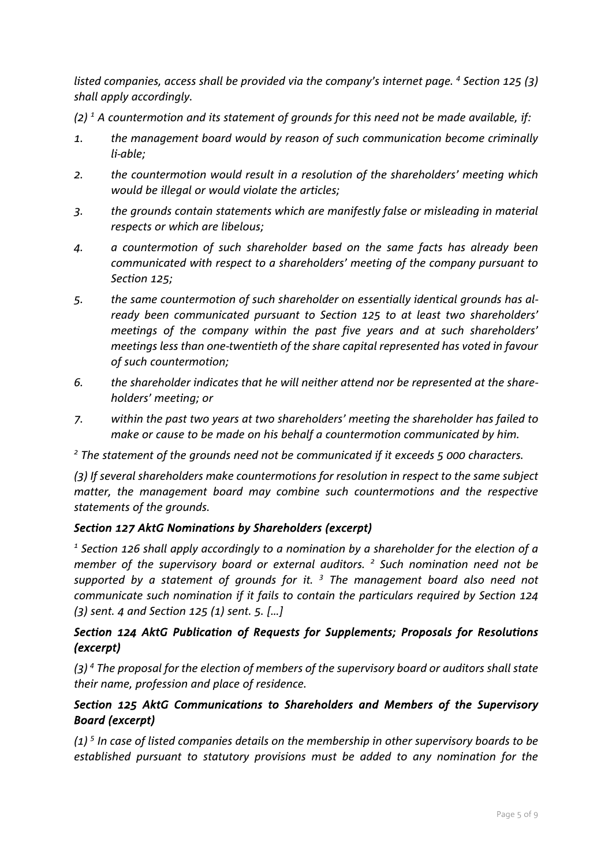*listed companies, access shall be provided via the company's internet page. 4 Section 125 (3) shall apply accordingly.* 

- *(2) 1 A countermotion and its statement of grounds for this need not be made available, if:*
- *1. the management board would by reason of such communication become criminally li-able;*
- *2. the countermotion would result in a resolution of the shareholders' meeting which would be illegal or would violate the articles;*
- *3. the grounds contain statements which are manifestly false or misleading in material respects or which are libelous;*
- *4. a countermotion of such shareholder based on the same facts has already been communicated with respect to a shareholders' meeting of the company pursuant to Section 125;*
- *5. the same countermotion of such shareholder on essentially identical grounds has already been communicated pursuant to Section 125 to at least two shareholders' meetings of the company within the past five years and at such shareholders' meetings less than one-twentieth of the share capital represented has voted in favour of such countermotion;*
- *6. the shareholder indicates that he will neither attend nor be represented at the shareholders' meeting; or*
- *7. within the past two years at two shareholders' meeting the shareholder has failed to make or cause to be made on his behalf a countermotion communicated by him.*

*<sup>2</sup> The statement of the grounds need not be communicated if it exceeds 5 000 characters.* 

*(3) If several shareholders make countermotions for resolution in respect to the same subject matter, the management board may combine such countermotions and the respective statements of the grounds.* 

### *Section 127 AktG Nominations by Shareholders (excerpt)*

*<sup>1</sup> Section 126 shall apply accordingly to a nomination by a shareholder for the election of a member of the supervisory board or external auditors. <sup>2</sup> Such nomination need not be supported by a statement of grounds for it. <sup>3</sup> The management board also need not communicate such nomination if it fails to contain the particulars required by Section 124 (3) sent. 4 and Section 125 (1) sent. 5. […]* 

### *Section 124 AktG Publication of Requests for Supplements; Proposals for Resolutions (excerpt)*

*(3) 4 The proposal for the election of members of the supervisory board or auditors shall state their name, profession and place of residence.* 

### *Section 125 AktG Communications to Shareholders and Members of the Supervisory Board (excerpt)*

*(1) 5 In case of listed companies details on the membership in other supervisory boards to be established pursuant to statutory provisions must be added to any nomination for the*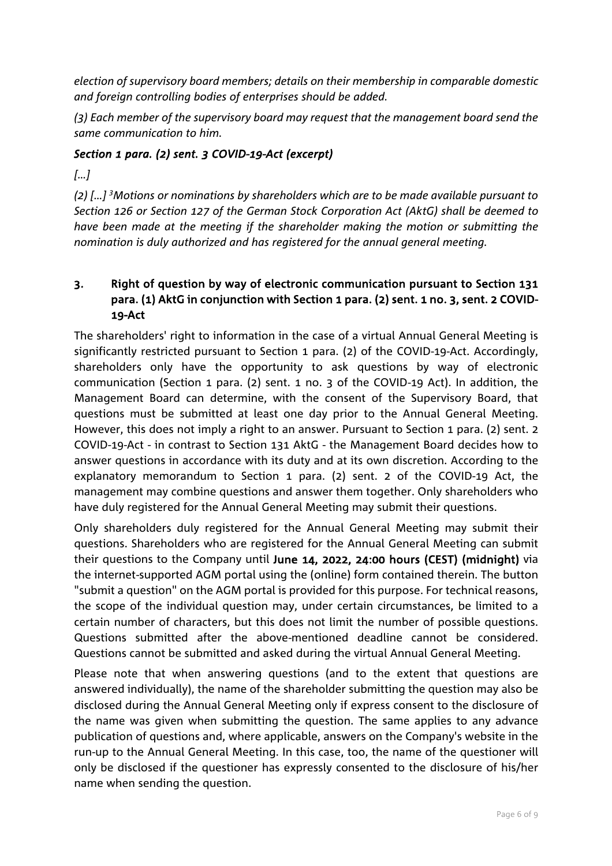*election of supervisory board members; details on their membership in comparable domestic and foreign controlling bodies of enterprises should be added.* 

*(3) Each member of the supervisory board may request that the management board send the same communication to him.* 

#### *Section 1 para. (2) sent. 3 COVID-19-Act (excerpt)*

*[…]*

*(2) […] 3 Motions or nominations by shareholders which are to be made available pursuant to Section 126 or Section 127 of the German Stock Corporation Act (AktG) shall be deemed to have been made at the meeting if the shareholder making the motion or submitting the nomination is duly authorized and has registered for the annual general meeting.*

## 3. Right of question by way of electronic communication pursuant to Section 131 para. (1) AktG in conjunction with Section 1 para. (2) sent. 1 no. 3, sent. 2 COVID-19-Act

The shareholders' right to information in the case of a virtual Annual General Meeting is significantly restricted pursuant to Section 1 para. (2) of the COVID-19-Act. Accordingly, shareholders only have the opportunity to ask questions by way of electronic communication (Section 1 para. (2) sent. 1 no. 3 of the COVID-19 Act). In addition, the Management Board can determine, with the consent of the Supervisory Board, that questions must be submitted at least one day prior to the Annual General Meeting. However, this does not imply a right to an answer. Pursuant to Section 1 para. (2) sent. 2 COVID-19-Act - in contrast to Section 131 AktG - the Management Board decides how to answer questions in accordance with its duty and at its own discretion. According to the explanatory memorandum to Section 1 para. (2) sent. 2 of the COVID-19 Act, the management may combine questions and answer them together. Only shareholders who have duly registered for the Annual General Meeting may submit their questions.

Only shareholders duly registered for the Annual General Meeting may submit their questions. Shareholders who are registered for the Annual General Meeting can submit their questions to the Company until June 14, 2022, 24:00 hours (CEST) (midnight) via the internet-supported AGM portal using the (online) form contained therein. The button "submit a question" on the AGM portal is provided for this purpose. For technical reasons, the scope of the individual question may, under certain circumstances, be limited to a certain number of characters, but this does not limit the number of possible questions. Questions submitted after the above-mentioned deadline cannot be considered. Questions cannot be submitted and asked during the virtual Annual General Meeting.

Please note that when answering questions (and to the extent that questions are answered individually), the name of the shareholder submitting the question may also be disclosed during the Annual General Meeting only if express consent to the disclosure of the name was given when submitting the question. The same applies to any advance publication of questions and, where applicable, answers on the Company's website in the run-up to the Annual General Meeting. In this case, too, the name of the questioner will only be disclosed if the questioner has expressly consented to the disclosure of his/her name when sending the question.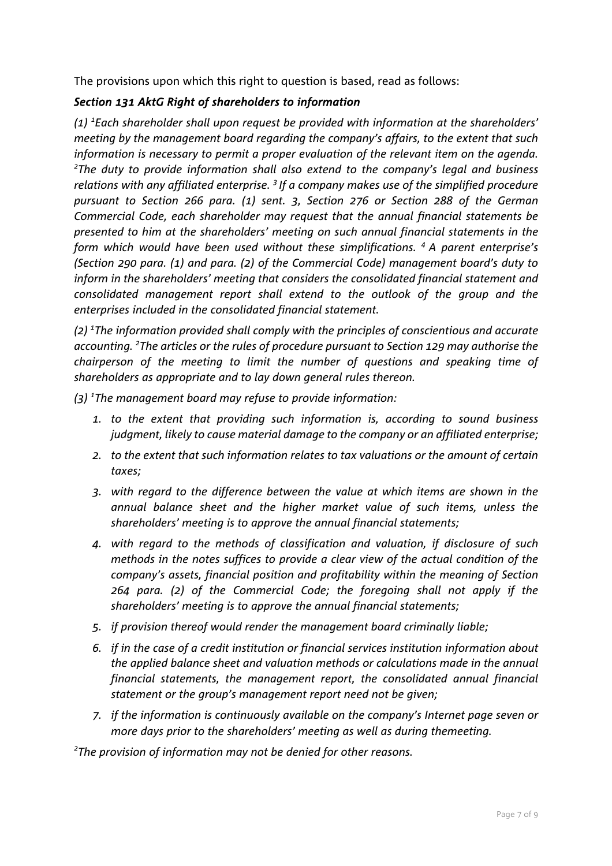The provisions upon which this right to question is based, read as follows:

#### *Section 131 AktG Right of shareholders to information*

*(1) <sup>1</sup> Each shareholder shall upon request be provided with information at the shareholders' meeting by the management board regarding the company's affairs, to the extent that such information is necessary to permit a proper evaluation of the relevant item on the agenda. The duty to provide information shall also extend to the company's legal and business relations with any affiliated enterprise. 3 If a company makes use of the simplified procedure pursuant to Section 266 para. (1) sent. 3, Section 276 or Section 288 of the German Commercial Code, each shareholder may request that the annual financial statements be presented to him at the shareholders' meeting on such annual financial statements in the form which would have been used without these simplifications. 4 A parent enterprise's (Section 290 para. (1) and para. (2) of the Commercial Code) management board's duty to inform in the shareholders' meeting that considers the consolidated financial statement and consolidated management report shall extend to the outlook of the group and the enterprises included in the consolidated financial statement.*

*(2) 1 The information provided shall comply with the principles of conscientious and accurate accounting. 2 The articles or the rules of procedure pursuant to Section 129 may authorise the chairperson of the meeting to limit the number of questions and speaking time of shareholders as appropriate and to lay down general rules thereon.*

*(3) 1 The management board may refuse to provide information:* 

- *1. to the extent that providing such information is, according to sound business judgment, likely to cause material damage to the company or an affiliated enterprise;*
- *2. to the extent that such information relates to tax valuations or the amount of certain taxes;*
- *3. with regard to the difference between the value at which items are shown in the annual balance sheet and the higher market value of such items, unless the shareholders' meeting is to approve the annual financial statements;*
- *4. with regard to the methods of classification and valuation, if disclosure of such methods in the notes suffices to provide a clear view of the actual condition of the company's assets, financial position and profitability within the meaning of Section 264 para. (2) of the Commercial Code; the foregoing shall not apply if the shareholders' meeting is to approve the annual financial statements;*
- *5. if provision thereof would render the management board criminally liable;*
- *6. if in the case of a credit institution or financial services institution information about the applied balance sheet and valuation methods or calculations made in the annual financial statements, the management report, the consolidated annual financial statement or the group's management report need not be given;*
- *7. if the information is continuously available on the company's Internet page seven or more days prior to the shareholders' meeting as well as during themeeting.*

*2 The provision of information may not be denied for other reasons.*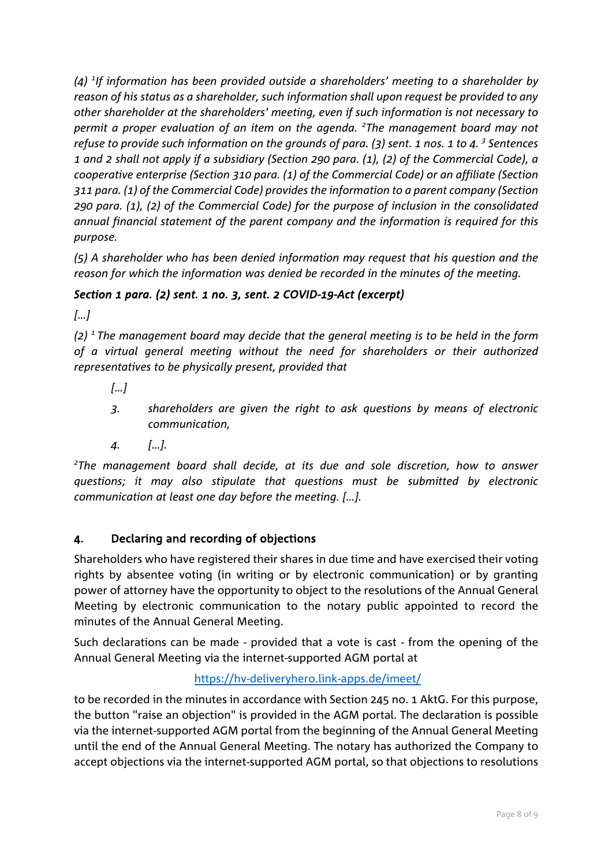*(4) <sup>1</sup> If information has been provided outside a shareholders' meeting to a shareholder by reason of his status as a shareholder, such information shall upon request be provided to any other shareholder at the shareholders' meeting, even if such information is not necessary to permit a proper evaluation of an item on the agenda. <sup>2</sup> The management board may not refuse to provide such information on the grounds of para. (3) sent. 1 nos. 1 to 4. 3 Sentences 1 and 2 shall not apply if a subsidiary (Section 290 para. (1), (2) of the Commercial Code), a cooperative enterprise (Section 310 para. (1) of the Commercial Code) or an affiliate (Section 311 para. (1) of the Commercial Code) provides the information to a parent company (Section 290 para. (1), (2) of the Commercial Code) for the purpose of inclusion in the consolidated annual financial statement of the parent company and the information is required for this purpose.*

*(5) A shareholder who has been denied information may request that his question and the reason for which the information was denied be recorded in the minutes of the meeting.*

# *Section 1 para. (2) sent. 1 no. 3, sent. 2 COVID-19-Act (excerpt)*

*[…]*

*(2) 1 The management board may decide that the general meeting is to be held in the form of a virtual general meeting without the need for shareholders or their authorized representatives to be physically present, provided that*

- *[…]*
- *3. shareholders are given the right to ask questions by means of electronic communication,*
- *4. […].*

*2 The management board shall decide, at its due and sole discretion, how to answer questions; it may also stipulate that questions must be submitted by electronic communication at least one day before the meeting. […].*

### 4. Declaring and recording of objections

Shareholders who have registered their shares in due time and have exercised their voting rights by absentee voting (in writing or by electronic communication) or by granting power of attorney have the opportunity to object to the resolutions of the Annual General Meeting by electronic communication to the notary public appointed to record the minutes of the Annual General Meeting.

Such declarations can be made - provided that a vote is cast - from the opening of the Annual General Meeting via the internet-supported AGM portal at

### https://hv-deliveryhero.link-apps.de/imeet/

to be recorded in the minutes in accordance with Section 245 no. 1 AktG. For this purpose, the button "raise an objection" is provided in the AGM portal. The declaration is possible via the internet-supported AGM portal from the beginning of the Annual General Meeting until the end of the Annual General Meeting. The notary has authorized the Company to accept objections via the internet-supported AGM portal, so that objections to resolutions